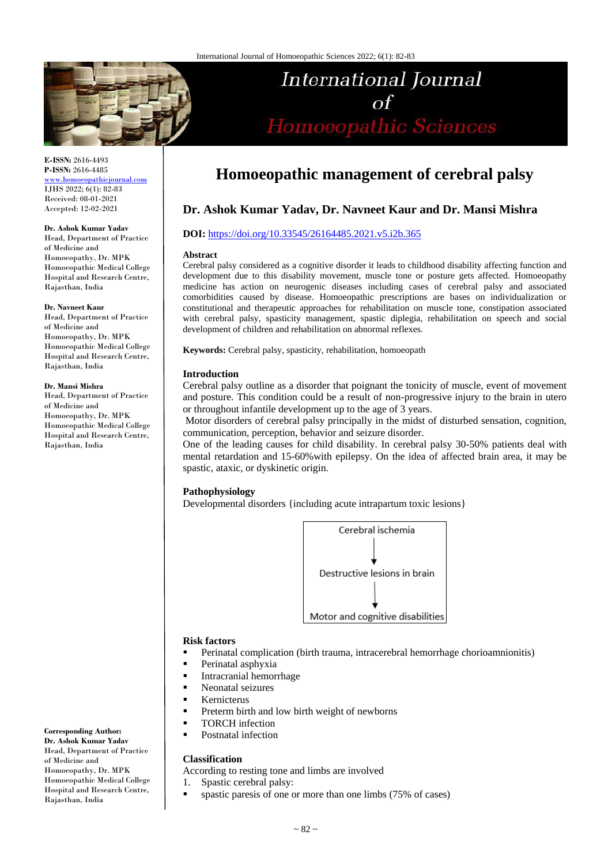

**E-ISSN:** 2616-4493 **P-ISSN:** 2616-4485 [www.homoeopathicjournal.com](file://Server/test/homoeopathicjournal/issue/vol%204/issue%201/www.homoeopathicjournal.com) IJHS 2022; 6(1): 82-83 Received: 08-01-2021

**Dr. Ashok Kumar Yadav**

Accepted: 12-02-2021

Head, Department of Practice of Medicine and Homoeopathy, Dr. MPK Homoeopathic Medical College Hospital and Research Centre, Rajasthan, India

**Dr. Navneet Kaur** Head, Department of Practice of Medicine and Homoeopathy, Dr. MPK Homoeopathic Medical College Hospital and Research Centre, Rajasthan, India

#### **Dr. Mansi Mishra**

Head, Department of Practice of Medicine and Homoeopathy, Dr. MPK Homoeopathic Medical College Hospital and Research Centre, Rajasthan, India

**Corresponding Author: Dr. Ashok Kumar Yadav** Head, Department of Practice of Medicine and Homoeopathy, Dr. MPK Homoeopathic Medical College Hospital and Research Centre, Rajasthan, India

# **Homoeopathic management of cerebral palsy**

International Journal

Homoeopathic Sciences

## **Dr. Ashok Kumar Yadav, Dr. Navneet Kaur and Dr. Mansi Mishra**

## **DOI:** <https://doi.org/10.33545/26164485.2021.v5.i2b.365>

#### **Abstract**

Cerebral palsy considered as a cognitive disorder it leads to childhood disability affecting function and development due to this disability movement, muscle tone or posture gets affected. Homoeopathy medicine has action on neurogenic diseases including cases of cerebral palsy and associated comorbidities caused by disease. Homoeopathic prescriptions are bases on individualization or constitutional and therapeutic approaches for rehabilitation on muscle tone, constipation associated with cerebral palsy, spasticity management, spastic diplegia, rehabilitation on speech and social development of children and rehabilitation on abnormal reflexes.

**Keywords:** Cerebral palsy, spasticity, rehabilitation, homoeopath

#### **Introduction**

Cerebral palsy outline as a disorder that poignant the tonicity of muscle, event of movement and posture. This condition could be a result of non-progressive injury to the brain in utero or throughout infantile development up to the age of 3 years.

Motor disorders of cerebral palsy principally in the midst of disturbed sensation, cognition, communication, perception, behavior and seizure disorder.

One of the leading causes for child disability. In cerebral palsy 30-50% patients deal with mental retardation and 15-60%with epilepsy. On the idea of affected brain area, it may be spastic, ataxic, or dyskinetic origin.

## **Pathophysiology**

Developmental disorders {including acute intrapartum toxic lesions}



#### **Risk factors**

- **Perinatal complication (birth trauma, intracerebral hemorrhage chorioamnionitis)**
- **Perinatal asphyxia**
- **Intracranial hemorrhage**
- Neonatal seizures
- **Kernicterus**
- **Preterm birth and low birth weight of newborns**
- **TORCH** infection
- Postnatal infection

#### **Classification**

According to resting tone and limbs are involved

- 1. Spastic cerebral palsy:
- **spastic paresis of one or more than one limbs (75% of cases)**